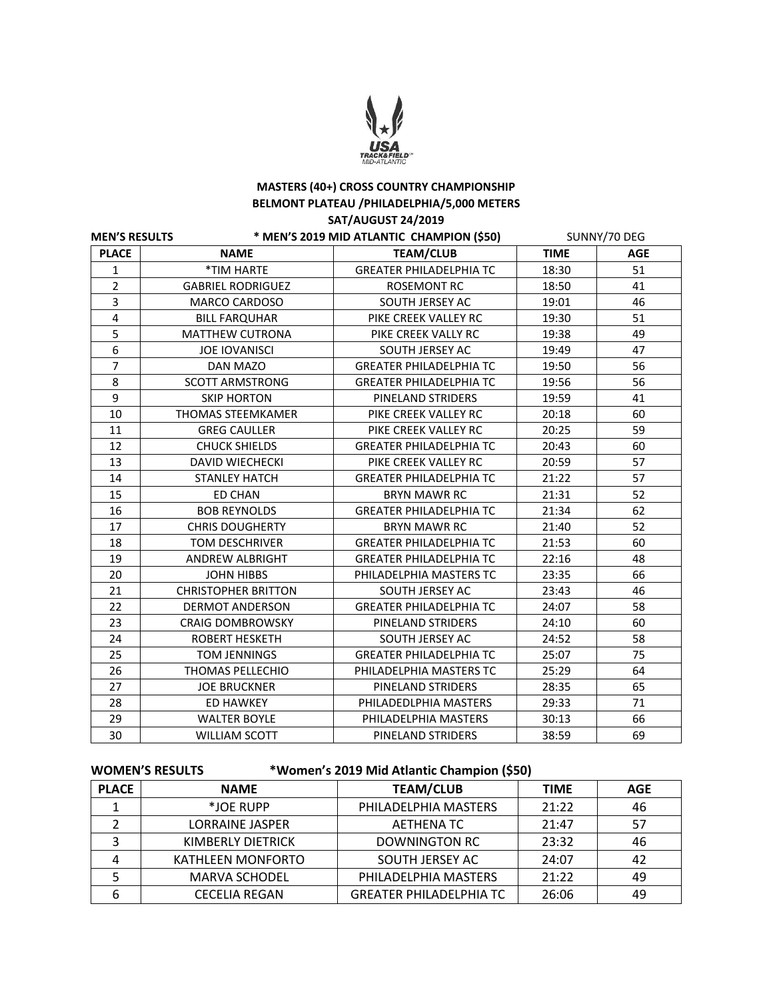

# **MASTERS (40+) CROSS COUNTRY CHAMPIONSHIP BELMONT PLATEAU /PHILADELPHIA/5,000 METERS SAT/AUGUST 24/2019**

| <b>MEN'S RESULTS</b>    |                            | * MEN'S 2019 MID ATLANTIC CHAMPION (\$50) | SUNNY/70 DEG |            |
|-------------------------|----------------------------|-------------------------------------------|--------------|------------|
| <b>PLACE</b>            | <b>NAME</b>                | <b>TEAM/CLUB</b>                          | <b>TIME</b>  | <b>AGE</b> |
| 1                       | *TIM HARTE                 | <b>GREATER PHILADELPHIA TC</b>            | 18:30        | 51         |
| $\overline{2}$          | <b>GABRIEL RODRIGUEZ</b>   | <b>ROSEMONT RC</b>                        | 18:50        | 41         |
| 3                       | <b>MARCO CARDOSO</b>       | SOUTH JERSEY AC                           | 19:01        | 46         |
| $\overline{\mathbf{4}}$ | <b>BILL FARQUHAR</b>       | PIKE CREEK VALLEY RC                      | 19:30        | 51         |
| 5                       | <b>MATTHEW CUTRONA</b>     | PIKE CREEK VALLY RC                       | 19:38        | 49         |
| 6                       | <b>JOE IOVANISCI</b>       | SOUTH JERSEY AC                           | 19:49        | 47         |
| $\overline{7}$          | <b>DAN MAZO</b>            | <b>GREATER PHILADELPHIA TC</b>            | 19:50        | 56         |
| 8                       | <b>SCOTT ARMSTRONG</b>     | <b>GREATER PHILADELPHIA TC</b>            | 19:56        | 56         |
| 9                       | <b>SKIP HORTON</b>         | PINELAND STRIDERS                         | 19:59        | 41         |
| 10                      | <b>THOMAS STEEMKAMER</b>   | PIKE CREEK VALLEY RC                      | 20:18        | 60         |
| 11                      | <b>GREG CAULLER</b>        | PIKE CREEK VALLEY RC                      | 20:25        | 59         |
| 12                      | <b>CHUCK SHIELDS</b>       | <b>GREATER PHILADELPHIA TC</b>            | 20:43        | 60         |
| 13                      | <b>DAVID WIECHECKI</b>     | PIKE CREEK VALLEY RC                      | 20:59        | 57         |
| 14                      | <b>STANLEY HATCH</b>       | <b>GREATER PHILADELPHIA TC</b>            | 21:22        | 57         |
| 15                      | <b>ED CHAN</b>             | <b>BRYN MAWR RC</b>                       | 21:31        | 52         |
| 16                      | <b>BOB REYNOLDS</b>        | <b>GREATER PHILADELPHIA TC</b>            | 21:34        | 62         |
| 17                      | <b>CHRIS DOUGHERTY</b>     | <b>BRYN MAWR RC</b>                       | 21:40        | 52         |
| 18                      | <b>TOM DESCHRIVER</b>      | <b>GREATER PHILADELPHIA TC</b>            | 21:53        | 60         |
| 19                      | <b>ANDREW ALBRIGHT</b>     | <b>GREATER PHILADELPHIA TC</b>            | 22:16        | 48         |
| 20                      | <b>JOHN HIBBS</b>          | PHILADELPHIA MASTERS TC                   | 23:35        | 66         |
| 21                      | <b>CHRISTOPHER BRITTON</b> | SOUTH JERSEY AC                           | 23:43        | 46         |
| 22                      | <b>DERMOT ANDERSON</b>     | <b>GREATER PHILADELPHIA TC</b>            | 24:07        | 58         |
| 23                      | <b>CRAIG DOMBROWSKY</b>    | PINELAND STRIDERS                         | 24:10        | 60         |
| 24                      | <b>ROBERT HESKETH</b>      | SOUTH JERSEY AC                           | 24:52        | 58         |
| 25                      | <b>TOM JENNINGS</b>        | <b>GREATER PHILADELPHIA TC</b>            | 25:07        | 75         |
| 26                      | THOMAS PELLECHIO           | PHILADELPHIA MASTERS TC                   | 25:29        | 64         |
| 27                      | <b>JOE BRUCKNER</b>        | PINELAND STRIDERS                         | 28:35        | 65         |
| 28                      | <b>ED HAWKEY</b>           | PHILADEDLPHIA MASTERS                     | 29:33        | 71         |
| 29                      | <b>WALTER BOYLE</b>        | PHILADELPHIA MASTERS                      | 30:13        | 66         |
| 30                      | <b>WILLIAM SCOTT</b>       | PINELAND STRIDERS                         | 38:59        | 69         |

**WOMEN'S RESULTS \*Women's 2019 Mid Atlantic Champion (\$50)**

| <b>PLACE</b> | <b>NAME</b>          | <b>TEAM/CLUB</b>               | <b>TIME</b> | <b>AGE</b> |
|--------------|----------------------|--------------------------------|-------------|------------|
|              | *JOE RUPP            | PHILADELPHIA MASTERS           | 21:22       | 46         |
|              | LORRAINE JASPER      | <b>AETHENA TC</b>              | 21:47       | 57         |
|              | KIMBERLY DIETRICK    | DOWNINGTON RC                  | 23:32       | 46         |
|              | KATHLEEN MONFORTO    | SOUTH JERSEY AC                | 24:07       | 42         |
|              | <b>MARVA SCHODEL</b> | PHILADELPHIA MASTERS           | 21:22       | 49         |
| 6            | <b>CECELIA REGAN</b> | <b>GREATER PHILADELPHIA TC</b> | 26:06       | 49         |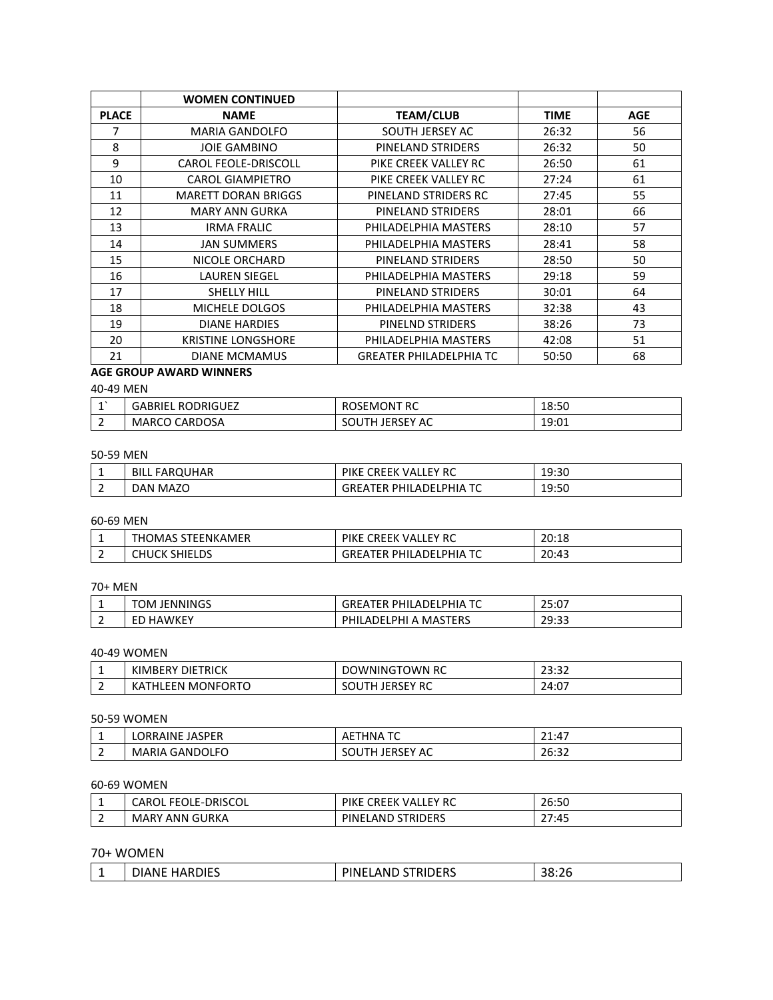|              | <b>WOMEN CONTINUED</b>      |                                |             |            |
|--------------|-----------------------------|--------------------------------|-------------|------------|
| <b>PLACE</b> | <b>NAME</b>                 | <b>TEAM/CLUB</b>               | <b>TIME</b> | <b>AGE</b> |
|              | <b>MARIA GANDOLFO</b>       | SOUTH JERSEY AC                | 26:32       | 56         |
| 8            | <b>JOIE GAMBINO</b>         | PINELAND STRIDERS              | 26:32       | 50         |
| 9            | <b>CAROL FEOLE-DRISCOLL</b> | PIKE CREEK VALLEY RC           | 26:50       | 61         |
| 10           | <b>CAROL GIAMPIETRO</b>     | PIKE CREEK VALLEY RC           | 27:24       | 61         |
| 11           | <b>MARETT DORAN BRIGGS</b>  | PINELAND STRIDERS RC           | 27:45       | 55         |
| 12           | <b>MARY ANN GURKA</b>       | PINELAND STRIDERS              | 28:01       | 66         |
| 13           | <b>IRMA FRALIC</b>          | PHILADELPHIA MASTERS           | 28:10       | 57         |
| 14           | <b>JAN SUMMERS</b>          | PHILADELPHIA MASTERS           | 28:41       | 58         |
| 15           | NICOLE ORCHARD              | PINELAND STRIDERS              | 28:50       | 50         |
| 16           | <b>LAUREN SIEGEL</b>        | PHILADELPHIA MASTERS           | 29:18       | 59         |
| 17           | SHELLY HILL                 | PINELAND STRIDERS              | 30:01       | 64         |
| 18           | MICHELE DOLGOS              | PHILADELPHIA MASTERS           | 32:38       | 43         |
| 19           | <b>DIANE HARDIES</b>        | PINELND STRIDERS               | 38:26       | 73         |
| 20           | <b>KRISTINE LONGSHORE</b>   | PHILADELPHIA MASTERS           | 42:08       | 51         |
| 21           | <b>DIANE MCMAMUS</b>        | <b>GREATER PHILADELPHIA TC</b> | 50:50       | 68         |

# **AGE GROUP AWARD WINNERS**

#### 40-49 MEN

| <b>GABRIEL RODRIGUEZ</b> | DSEMONT RC<br>- RC         | 18:50 |
|--------------------------|----------------------------|-------|
| CARDOSA<br>MARCO         | . JERSEY -<br>AC.<br>SOUTH | 19:01 |

#### 50-59 MEN

| FARQUHAR<br><b>BILL</b> | <b>PIKE</b><br><b>CREEK VALLEY RC</b>  | 19:30 |
|-------------------------|----------------------------------------|-------|
| <b>MAZO</b><br>DAN      | PHILADELPHIA TC<br>GREA<br><b>ATFR</b> | 19:50 |

## 60-69 MEN

|                               | ΆΜER:<br>∴UMAS∙<br>.TFFNK<br><b>H</b> | <b>CRFFK</b><br>LEY RC<br><b>PIKL</b><br>$V\Delta V$<br>໋         | 20:18 |
|-------------------------------|---------------------------------------|-------------------------------------------------------------------|-------|
| $\overline{\phantom{0}}$<br>- | HIEL DE.<br>CHUCK<br><b>JIILLUJ</b>   | PHIA TC.<br>` PHILADEL <sub>'</sub><br>TER<br>GRE <i>P</i><br>┪╽╒ | 20:43 |

## 70+ MEN

|        | JENNINGS<br>"OM  | ---<br>PHIA<br>PHII<br>nfi<br>Δ<br>.<br>∼<br>--- | $\sim$ $-$<br>.07<br>-<br>25.UT |
|--------|------------------|--------------------------------------------------|---------------------------------|
| -<br>- | \WKE<br>НΔ<br>cυ | MASTERS<br>PHI<br>DHI<br>LADELF<br>Ē             | 70.22<br>ر                      |

#### 40-49 WOMEN

|                               | <b>DIETRICK</b><br>KIMBERY                | town rc<br>)WNING<br>ر پن                                    | $\sim$<br>$\sim$<br>29.92 |
|-------------------------------|-------------------------------------------|--------------------------------------------------------------|---------------------------|
| $\overline{\phantom{0}}$<br>- | 1ONFORTO<br>M<br>$\sim$<br>EEN<br>-<br>n. | $\mathsf{V} \mathsf{R} \mathsf{C}$<br>n<br>эu<br>JENJEI<br>ີ | 24:07                     |

### 50-59 WOMEN

| <b>.</b>                      | _ JASPF <sup>r</sup><br><b>LORRAINE</b> | $ -$<br>HNA<br>AL<br>-<br>$\sim$           | 21:47                      |
|-------------------------------|-----------------------------------------|--------------------------------------------|----------------------------|
| $\overline{\phantom{0}}$<br>- | <b>GANDOLFC</b><br>MARIA                | AC<br><b>MULITIC PRODUCT:</b><br>, ,<br>JU | $\sim$ $\sim$<br>ጋፍ<br>ے ت |

## 60-69 WOMEN

| -                             | EOLE-DRISCOL <sup>:</sup><br>ואמ<br>⊢⊢<br><b>UNIVE</b> | <b>CREEK</b><br><b>PIKE</b><br>EY RCL<br>VAI | 26:50 |
|-------------------------------|--------------------------------------------------------|----------------------------------------------|-------|
| $\overline{\phantom{0}}$<br>- | ANN GURKA<br>MAR <sup>V</sup>                          | <b>STRIDERS</b><br>PINEL<br>™AN∟             | 27:45 |

# 70+ WOMEN

|  |  | cnc<br>'NН<br>ر ۱ اے | the contract of the contract of the con- |
|--|--|----------------------|------------------------------------------|
|--|--|----------------------|------------------------------------------|